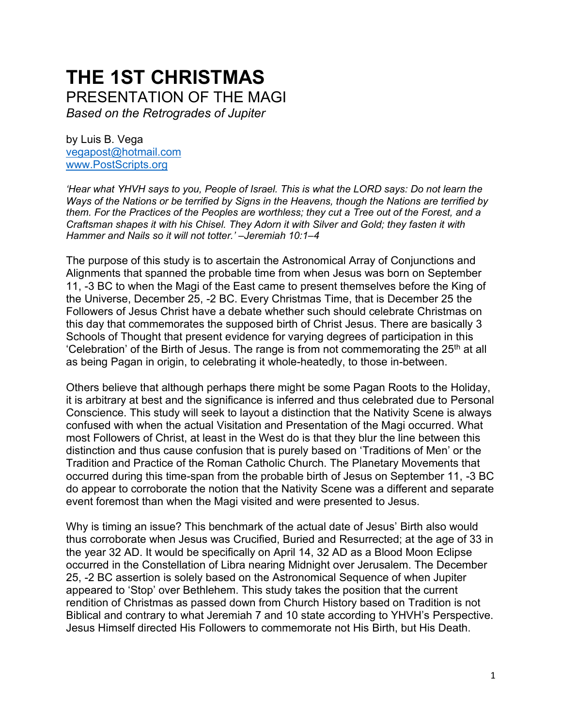# **THE 1ST CHRISTMAS** PRESENTATION OF THE MAGI *Based on the Retrogrades of Jupiter*

by Luis B. Vega [vegapost@hotmail.com](mailto:vegapost@hotmail.com) [www.PostScripts.org](http://www.postscripts.org/)

*'Hear what YHVH says to you, People of Israel. This is what the LORD says: Do not learn the Ways of the Nations or be terrified by Signs in the Heavens, though the Nations are terrified by them. For the Practices of the Peoples are worthless; they cut a Tree out of the Forest, and a Craftsman shapes it with his Chisel. They Adorn it with Silver and Gold; they fasten it with Hammer and Nails so it will not totter.' –Jeremiah 10:1–4*

The purpose of this study is to ascertain the Astronomical Array of Conjunctions and Alignments that spanned the probable time from when Jesus was born on September 11, -3 BC to when the Magi of the East came to present themselves before the King of the Universe, December 25, -2 BC. Every Christmas Time, that is December 25 the Followers of Jesus Christ have a debate whether such should celebrate Christmas on this day that commemorates the supposed birth of Christ Jesus. There are basically 3 Schools of Thought that present evidence for varying degrees of participation in this 'Celebration' of the Birth of Jesus. The range is from not commemorating the  $25<sup>th</sup>$  at all as being Pagan in origin, to celebrating it whole-heatedly, to those in-between.

Others believe that although perhaps there might be some Pagan Roots to the Holiday, it is arbitrary at best and the significance is inferred and thus celebrated due to Personal Conscience. This study will seek to layout a distinction that the Nativity Scene is always confused with when the actual Visitation and Presentation of the Magi occurred. What most Followers of Christ, at least in the West do is that they blur the line between this distinction and thus cause confusion that is purely based on 'Traditions of Men' or the Tradition and Practice of the Roman Catholic Church. The Planetary Movements that occurred during this time-span from the probable birth of Jesus on September 11, -3 BC do appear to corroborate the notion that the Nativity Scene was a different and separate event foremost than when the Magi visited and were presented to Jesus.

Why is timing an issue? This benchmark of the actual date of Jesus' Birth also would thus corroborate when Jesus was Crucified, Buried and Resurrected; at the age of 33 in the year 32 AD. It would be specifically on April 14, 32 AD as a Blood Moon Eclipse occurred in the Constellation of Libra nearing Midnight over Jerusalem. The December 25, -2 BC assertion is solely based on the Astronomical Sequence of when Jupiter appeared to 'Stop' over Bethlehem. This study takes the position that the current rendition of Christmas as passed down from Church History based on Tradition is not Biblical and contrary to what Jeremiah 7 and 10 state according to YHVH's Perspective. Jesus Himself directed His Followers to commemorate not His Birth, but His Death.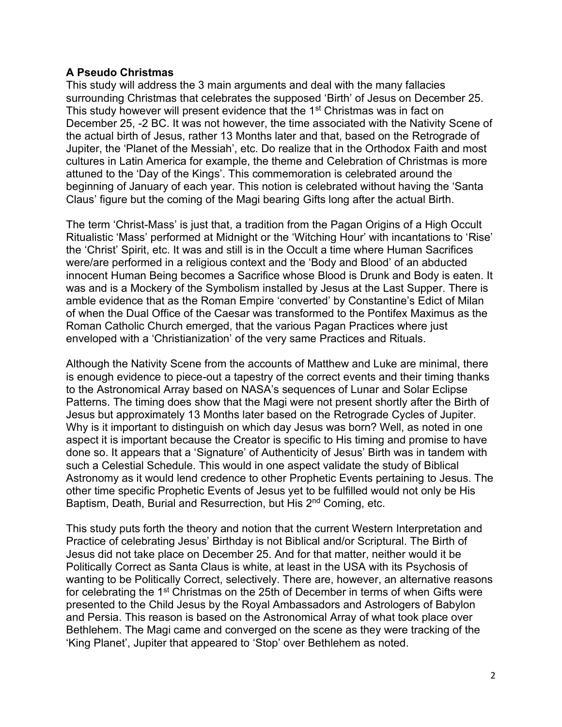# **A Pseudo Christmas**

This study will address the 3 main arguments and deal with the many fallacies surrounding Christmas that celebrates the supposed 'Birth' of Jesus on December 25. This study however will present evidence that the 1<sup>st</sup> Christmas was in fact on December 25, -2 BC. It was not however, the time associated with the Nativity Scene of the actual birth of Jesus, rather 13 Months later and that, based on the Retrograde of Jupiter, the 'Planet of the Messiah', etc. Do realize that in the Orthodox Faith and most cultures in Latin America for example, the theme and Celebration of Christmas is more attuned to the 'Day of the Kings'. This commemoration is celebrated around the beginning of January of each year. This notion is celebrated without having the 'Santa Claus' figure but the coming of the Magi bearing Gifts long after the actual Birth.

The term 'Christ-Mass' is just that, a tradition from the Pagan Origins of a High Occult Ritualistic 'Mass' performed at Midnight or the 'Witching Hour' with incantations to 'Rise' the 'Christ' Spirit, etc. It was and still is in the Occult a time where Human Sacrifices were/are performed in a religious context and the 'Body and Blood' of an abducted innocent Human Being becomes a Sacrifice whose Blood is Drunk and Body is eaten. It was and is a Mockery of the Symbolism installed by Jesus at the Last Supper. There is amble evidence that as the Roman Empire 'converted' by Constantine's Edict of Milan of when the Dual Office of the Caesar was transformed to the Pontifex Maximus as the Roman Catholic Church emerged, that the various Pagan Practices where just enveloped with a 'Christianization' of the very same Practices and Rituals.

Although the Nativity Scene from the accounts of Matthew and Luke are minimal, there is enough evidence to piece-out a tapestry of the correct events and their timing thanks to the Astronomical Array based on NASA's sequences of Lunar and Solar Eclipse Patterns. The timing does show that the Magi were not present shortly after the Birth of Jesus but approximately 13 Months later based on the Retrograde Cycles of Jupiter. Why is it important to distinguish on which day Jesus was born? Well, as noted in one aspect it is important because the Creator is specific to His timing and promise to have done so. It appears that a 'Signature' of Authenticity of Jesus' Birth was in tandem with such a Celestial Schedule. This would in one aspect validate the study of Biblical Astronomy as it would lend credence to other Prophetic Events pertaining to Jesus. The other time specific Prophetic Events of Jesus yet to be fulfilled would not only be His Baptism, Death, Burial and Resurrection, but His 2<sup>nd</sup> Coming, etc.

This study puts forth the theory and notion that the current Western Interpretation and Practice of celebrating Jesus' Birthday is not Biblical and/or Scriptural. The Birth of Jesus did not take place on December 25. And for that matter, neither would it be Politically Correct as Santa Claus is white, at least in the USA with its Psychosis of wanting to be Politically Correct, selectively. There are, however, an alternative reasons for celebrating the 1<sup>st</sup> Christmas on the 25th of December in terms of when Gifts were presented to the Child Jesus by the Royal Ambassadors and Astrologers of Babylon and Persia. This reason is based on the Astronomical Array of what took place over Bethlehem. The Magi came and converged on the scene as they were tracking of the 'King Planet', Jupiter that appeared to 'Stop' over Bethlehem as noted.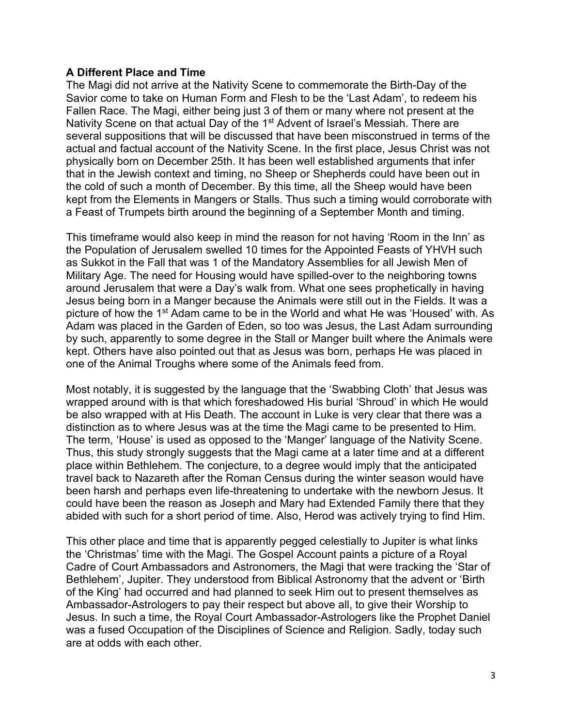# **A Different Place and Time**

The Magi did not arrive at the Nativity Scene to commemorate the Birth-Day of the Savior come to take on Human Form and Flesh to be the 'Last Adam', to redeem his Fallen Race. The Magi, either being just 3 of them or many where not present at the Nativity Scene on that actual Day of the 1<sup>st</sup> Advent of Israel's Messiah. There are several suppositions that will be discussed that have been misconstrued in terms of the actual and factual account of the Nativity Scene. In the first place, Jesus Christ was not physically born on December 25th. It has been well established arguments that infer that in the Jewish context and timing, no Sheep or Shepherds could have been out in the cold of such a month of December. By this time, all the Sheep would have been kept from the Elements in Mangers or Stalls. Thus such a timing would corroborate with a Feast of Trumpets birth around the beginning of a September Month and timing.

This timeframe would also keep in mind the reason for not having 'Room in the Inn' as the Population of Jerusalem swelled 10 times for the Appointed Feasts of YHVH such as Sukkot in the Fall that was 1 of the Mandatory Assemblies for all Jewish Men of Military Age. The need for Housing would have spilled-over to the neighboring towns around Jerusalem that were a Day's walk from. What one sees prophetically in having Jesus being born in a Manger because the Animals were still out in the Fields. It was a picture of how the 1st Adam came to be in the World and what He was 'Housed' with. As Adam was placed in the Garden of Eden, so too was Jesus, the Last Adam surrounding by such, apparently to some degree in the Stall or Manger built where the Animals were kept. Others have also pointed out that as Jesus was born, perhaps He was placed in one of the Animal Troughs where some of the Animals feed from.

Most notably, it is suggested by the language that the 'Swabbing Cloth' that Jesus was wrapped around with is that which foreshadowed His burial 'Shroud' in which He would be also wrapped with at His Death. The account in Luke is very clear that there was a distinction as to where Jesus was at the time the Magi came to be presented to Him. The term, 'House' is used as opposed to the 'Manger' language of the Nativity Scene. Thus, this study strongly suggests that the Magi came at a later time and at a different place within Bethlehem. The conjecture, to a degree would imply that the anticipated travel back to Nazareth after the Roman Census during the winter season would have been harsh and perhaps even life-threatening to undertake with the newborn Jesus. It could have been the reason as Joseph and Mary had Extended Family there that they abided with such for a short period of time. Also, Herod was actively trying to find Him.

This other place and time that is apparently pegged celestially to Jupiter is what links the 'Christmas' time with the Magi. The Gospel Account paints a picture of a Royal Cadre of Court Ambassadors and Astronomers, the Magi that were tracking the 'Star of Bethlehem', Jupiter. They understood from Biblical Astronomy that the advent or 'Birth of the King' had occurred and had planned to seek Him out to present themselves as Ambassador-Astrologers to pay their respect but above all, to give their Worship to Jesus. In such a time, the Royal Court Ambassador-Astrologers like the Prophet Daniel was a fused Occupation of the Disciplines of Science and Religion. Sadly, today such are at odds with each other.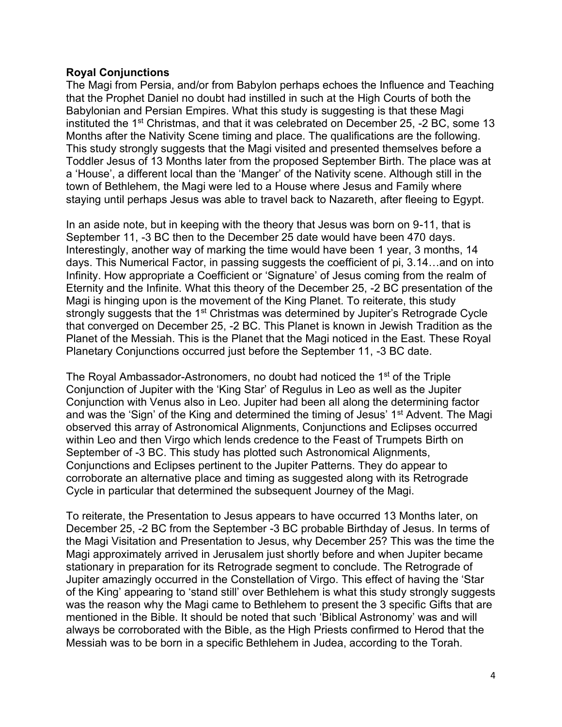# **Royal Conjunctions**

The Magi from Persia, and/or from Babylon perhaps echoes the Influence and Teaching that the Prophet Daniel no doubt had instilled in such at the High Courts of both the Babylonian and Persian Empires. What this study is suggesting is that these Magi instituted the 1st Christmas, and that it was celebrated on December 25, -2 BC, some 13 Months after the Nativity Scene timing and place. The qualifications are the following. This study strongly suggests that the Magi visited and presented themselves before a Toddler Jesus of 13 Months later from the proposed September Birth. The place was at a 'House', a different local than the 'Manger' of the Nativity scene. Although still in the town of Bethlehem, the Magi were led to a House where Jesus and Family where staying until perhaps Jesus was able to travel back to Nazareth, after fleeing to Egypt.

In an aside note, but in keeping with the theory that Jesus was born on 9-11, that is September 11, -3 BC then to the December 25 date would have been 470 days. Interestingly, another way of marking the time would have been 1 year, 3 months, 14 days. This Numerical Factor, in passing suggests the coefficient of pi, 3.14…and on into Infinity. How appropriate a Coefficient or 'Signature' of Jesus coming from the realm of Eternity and the Infinite. What this theory of the December 25, -2 BC presentation of the Magi is hinging upon is the movement of the King Planet. To reiterate, this study strongly suggests that the 1<sup>st</sup> Christmas was determined by Jupiter's Retrograde Cycle that converged on December 25, -2 BC. This Planet is known in Jewish Tradition as the Planet of the Messiah. This is the Planet that the Magi noticed in the East. These Royal Planetary Conjunctions occurred just before the September 11, -3 BC date.

The Royal Ambassador-Astronomers, no doubt had noticed the 1<sup>st</sup> of the Triple Conjunction of Jupiter with the 'King Star' of Regulus in Leo as well as the Jupiter Conjunction with Venus also in Leo. Jupiter had been all along the determining factor and was the 'Sign' of the King and determined the timing of Jesus' 1<sup>st</sup> Advent. The Magi observed this array of Astronomical Alignments, Conjunctions and Eclipses occurred within Leo and then Virgo which lends credence to the Feast of Trumpets Birth on September of -3 BC. This study has plotted such Astronomical Alignments, Conjunctions and Eclipses pertinent to the Jupiter Patterns. They do appear to corroborate an alternative place and timing as suggested along with its Retrograde Cycle in particular that determined the subsequent Journey of the Magi.

To reiterate, the Presentation to Jesus appears to have occurred 13 Months later, on December 25, -2 BC from the September -3 BC probable Birthday of Jesus. In terms of the Magi Visitation and Presentation to Jesus, why December 25? This was the time the Magi approximately arrived in Jerusalem just shortly before and when Jupiter became stationary in preparation for its Retrograde segment to conclude. The Retrograde of Jupiter amazingly occurred in the Constellation of Virgo. This effect of having the 'Star of the King' appearing to 'stand still' over Bethlehem is what this study strongly suggests was the reason why the Magi came to Bethlehem to present the 3 specific Gifts that are mentioned in the Bible. It should be noted that such 'Biblical Astronomy' was and will always be corroborated with the Bible, as the High Priests confirmed to Herod that the Messiah was to be born in a specific Bethlehem in Judea, according to the Torah.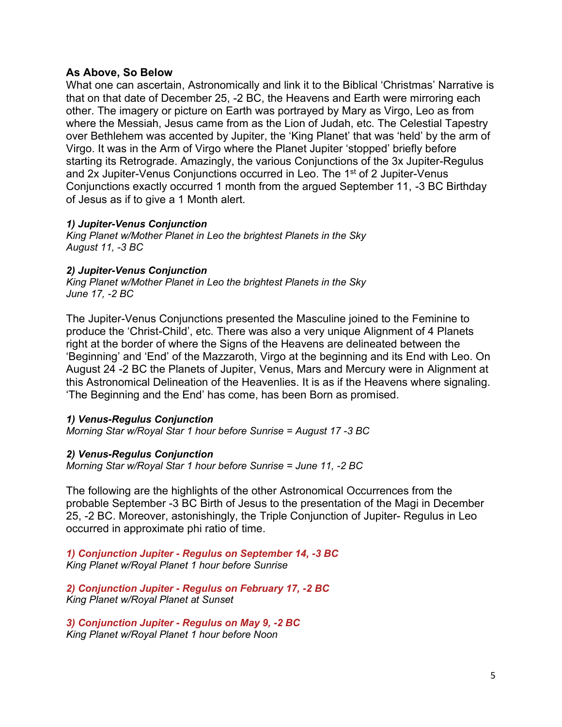# **As Above, So Below**

What one can ascertain, Astronomically and link it to the Biblical 'Christmas' Narrative is that on that date of December 25, -2 BC, the Heavens and Earth were mirroring each other. The imagery or picture on Earth was portrayed by Mary as Virgo, Leo as from where the Messiah, Jesus came from as the Lion of Judah, etc. The Celestial Tapestry over Bethlehem was accented by Jupiter, the 'King Planet' that was 'held' by the arm of Virgo. It was in the Arm of Virgo where the Planet Jupiter 'stopped' briefly before starting its Retrograde. Amazingly, the various Conjunctions of the 3x Jupiter-Regulus and 2x Jupiter-Venus Conjunctions occurred in Leo. The 1<sup>st</sup> of 2 Jupiter-Venus Conjunctions exactly occurred 1 month from the argued September 11, -3 BC Birthday of Jesus as if to give a 1 Month alert.

#### *1) Jupiter-Venus Conjunction*

*King Planet w/Mother Planet in Leo the brightest Planets in the Sky August 11, -3 BC*

#### *2) Jupiter-Venus Conjunction*

*King Planet w/Mother Planet in Leo the brightest Planets in the Sky June 17, -2 BC*

The Jupiter-Venus Conjunctions presented the Masculine joined to the Feminine to produce the 'Christ-Child', etc. There was also a very unique Alignment of 4 Planets right at the border of where the Signs of the Heavens are delineated between the 'Beginning' and 'End' of the Mazzaroth, Virgo at the beginning and its End with Leo. On August 24 -2 BC the Planets of Jupiter, Venus, Mars and Mercury were in Alignment at this Astronomical Delineation of the Heavenlies. It is as if the Heavens where signaling. 'The Beginning and the End' has come, has been Born as promised.

#### *1) Venus-Regulus Conjunction*

*Morning Star w/Royal Star 1 hour before Sunrise = August 17 -3 BC*

#### *2) Venus-Regulus Conjunction*

*Morning Star w/Royal Star 1 hour before Sunrise = June 11, -2 BC*

The following are the highlights of the other Astronomical Occurrences from the probable September -3 BC Birth of Jesus to the presentation of the Magi in December 25, -2 BC. Moreover, astonishingly, the Triple Conjunction of Jupiter- Regulus in Leo occurred in approximate phi ratio of time.

*1) Conjunction Jupiter - Regulus on September 14, -3 BC King Planet w/Royal Planet 1 hour before Sunrise*

*2) Conjunction Jupiter - Regulus on February 17, -2 BC King Planet w/Royal Planet at Sunset*

*3) Conjunction Jupiter - Regulus on May 9, -2 BC King Planet w/Royal Planet 1 hour before Noon*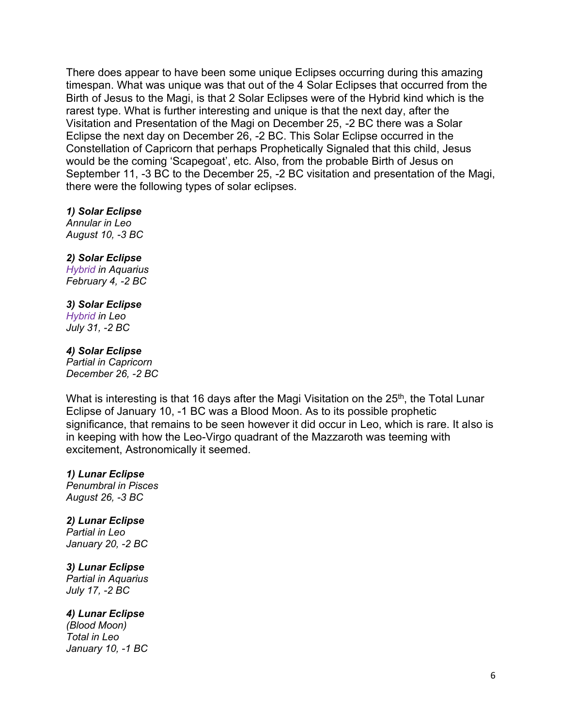There does appear to have been some unique Eclipses occurring during this amazing timespan. What was unique was that out of the 4 Solar Eclipses that occurred from the Birth of Jesus to the Magi, is that 2 Solar Eclipses were of the Hybrid kind which is the rarest type. What is further interesting and unique is that the next day, after the Visitation and Presentation of the Magi on December 25, -2 BC there was a Solar Eclipse the next day on December 26, -2 BC. This Solar Eclipse occurred in the Constellation of Capricorn that perhaps Prophetically Signaled that this child, Jesus would be the coming 'Scapegoat', etc. Also, from the probable Birth of Jesus on September 11, -3 BC to the December 25, -2 BC visitation and presentation of the Magi, there were the following types of solar eclipses.

#### *1) Solar Eclipse*

*Annular in Leo August 10, -3 BC*

#### *2) Solar Eclipse*

*Hybrid in Aquarius February 4, -2 BC*

#### *3) Solar Eclipse*

*Hybrid in Leo July 31, -2 BC*

#### *4) Solar Eclipse*

*Partial in Capricorn December 26, -2 BC*

What is interesting is that 16 days after the Magi Visitation on the  $25<sup>th</sup>$ , the Total Lunar Eclipse of January 10, -1 BC was a Blood Moon. As to its possible prophetic significance, that remains to be seen however it did occur in Leo, which is rare. It also is in keeping with how the Leo-Virgo quadrant of the Mazzaroth was teeming with excitement, Astronomically it seemed.

#### *1) Lunar Eclipse*

*Penumbral in Pisces August 26, -3 BC*

# *2) Lunar Eclipse*

*Partial in Leo January 20, -2 BC*

#### *3) Lunar Eclipse*

*Partial in Aquarius July 17, -2 BC*

#### *4) Lunar Eclipse*

*(Blood Moon) Total in Leo January 10, -1 BC*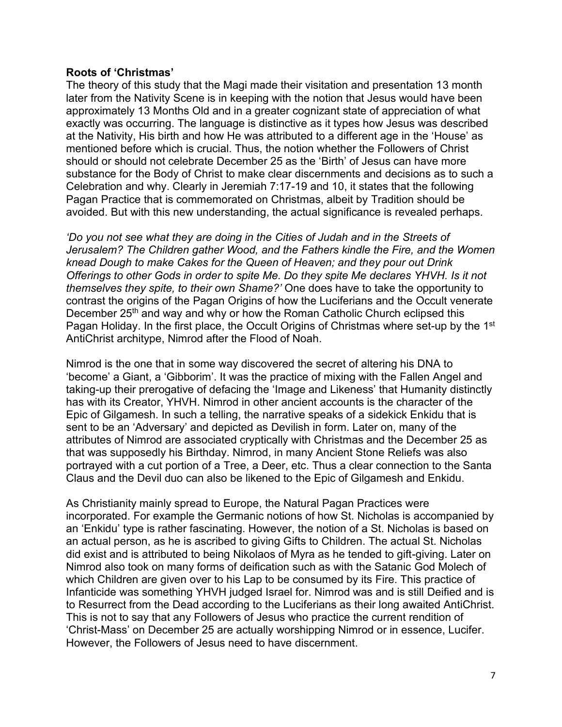## **Roots of 'Christmas'**

The theory of this study that the Magi made their visitation and presentation 13 month later from the Nativity Scene is in keeping with the notion that Jesus would have been approximately 13 Months Old and in a greater cognizant state of appreciation of what exactly was occurring. The language is distinctive as it types how Jesus was described at the Nativity, His birth and how He was attributed to a different age in the 'House' as mentioned before which is crucial. Thus, the notion whether the Followers of Christ should or should not celebrate December 25 as the 'Birth' of Jesus can have more substance for the Body of Christ to make clear discernments and decisions as to such a Celebration and why. Clearly in Jeremiah 7:17-19 and 10, it states that the following Pagan Practice that is commemorated on Christmas, albeit by Tradition should be avoided. But with this new understanding, the actual significance is revealed perhaps.

*'Do you not see what they are doing in the Cities of Judah and in the Streets of Jerusalem? The Children gather Wood, and the Fathers kindle the Fire, and the Women knead Dough to make Cakes for the Queen of Heaven; and they pour out Drink Offerings to other Gods in order to spite Me. Do they spite Me declares YHVH. Is it not themselves they spite, to their own Shame?'* One does have to take the opportunity to contrast the origins of the Pagan Origins of how the Luciferians and the Occult venerate December 25<sup>th</sup> and way and why or how the Roman Catholic Church eclipsed this Pagan Holiday. In the first place, the Occult Origins of Christmas where set-up by the 1<sup>st</sup> AntiChrist architype, Nimrod after the Flood of Noah.

Nimrod is the one that in some way discovered the secret of altering his DNA to 'become' a Giant, a 'Gibborim'. It was the practice of mixing with the Fallen Angel and taking-up their prerogative of defacing the 'Image and Likeness' that Humanity distinctly has with its Creator, YHVH. Nimrod in other ancient accounts is the character of the Epic of Gilgamesh. In such a telling, the narrative speaks of a sidekick Enkidu that is sent to be an 'Adversary' and depicted as Devilish in form. Later on, many of the attributes of Nimrod are associated cryptically with Christmas and the December 25 as that was supposedly his Birthday. Nimrod, in many Ancient Stone Reliefs was also portrayed with a cut portion of a Tree, a Deer, etc. Thus a clear connection to the Santa Claus and the Devil duo can also be likened to the Epic of Gilgamesh and Enkidu.

As Christianity mainly spread to Europe, the Natural Pagan Practices were incorporated. For example the Germanic notions of how St. Nicholas is accompanied by an 'Enkidu' type is rather fascinating. However, the notion of a St. Nicholas is based on an actual person, as he is ascribed to giving Gifts to Children. The actual St. Nicholas did exist and is attributed to being Nikolaos of Myra as he tended to gift-giving. Later on Nimrod also took on many forms of deification such as with the Satanic God Molech of which Children are given over to his Lap to be consumed by its Fire. This practice of Infanticide was something YHVH judged Israel for. Nimrod was and is still Deified and is to Resurrect from the Dead according to the Luciferians as their long awaited AntiChrist. This is not to say that any Followers of Jesus who practice the current rendition of 'Christ-Mass' on December 25 are actually worshipping Nimrod or in essence, Lucifer. However, the Followers of Jesus need to have discernment.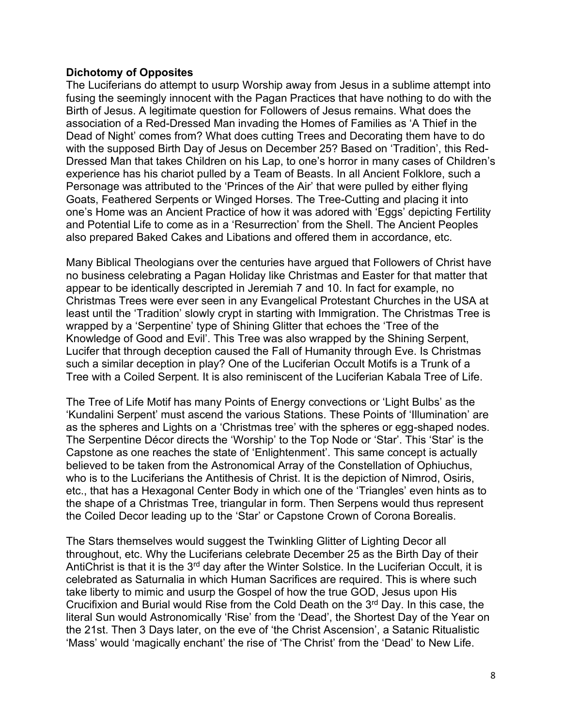# **Dichotomy of Opposites**

The Luciferians do attempt to usurp Worship away from Jesus in a sublime attempt into fusing the seemingly innocent with the Pagan Practices that have nothing to do with the Birth of Jesus. A legitimate question for Followers of Jesus remains. What does the association of a Red-Dressed Man invading the Homes of Families as 'A Thief in the Dead of Night' comes from? What does cutting Trees and Decorating them have to do with the supposed Birth Day of Jesus on December 25? Based on 'Tradition', this Red-Dressed Man that takes Children on his Lap, to one's horror in many cases of Children's experience has his chariot pulled by a Team of Beasts. In all Ancient Folklore, such a Personage was attributed to the 'Princes of the Air' that were pulled by either flying Goats, Feathered Serpents or Winged Horses. The Tree-Cutting and placing it into one's Home was an Ancient Practice of how it was adored with 'Eggs' depicting Fertility and Potential Life to come as in a 'Resurrection' from the Shell. The Ancient Peoples also prepared Baked Cakes and Libations and offered them in accordance, etc.

Many Biblical Theologians over the centuries have argued that Followers of Christ have no business celebrating a Pagan Holiday like Christmas and Easter for that matter that appear to be identically descripted in Jeremiah 7 and 10. In fact for example, no Christmas Trees were ever seen in any Evangelical Protestant Churches in the USA at least until the 'Tradition' slowly crypt in starting with Immigration. The Christmas Tree is wrapped by a 'Serpentine' type of Shining Glitter that echoes the 'Tree of the Knowledge of Good and Evil'. This Tree was also wrapped by the Shining Serpent, Lucifer that through deception caused the Fall of Humanity through Eve. Is Christmas such a similar deception in play? One of the Luciferian Occult Motifs is a Trunk of a Tree with a Coiled Serpent. It is also reminiscent of the Luciferian Kabala Tree of Life.

The Tree of Life Motif has many Points of Energy convections or 'Light Bulbs' as the 'Kundalini Serpent' must ascend the various Stations. These Points of 'Illumination' are as the spheres and Lights on a 'Christmas tree' with the spheres or egg-shaped nodes. The Serpentine Décor directs the 'Worship' to the Top Node or 'Star'. This 'Star' is the Capstone as one reaches the state of 'Enlightenment'. This same concept is actually believed to be taken from the Astronomical Array of the Constellation of Ophiuchus, who is to the Luciferians the Antithesis of Christ. It is the depiction of Nimrod, Osiris, etc., that has a Hexagonal Center Body in which one of the 'Triangles' even hints as to the shape of a Christmas Tree, triangular in form. Then Serpens would thus represent the Coiled Decor leading up to the 'Star' or Capstone Crown of Corona Borealis.

The Stars themselves would suggest the Twinkling Glitter of Lighting Decor all throughout, etc. Why the Luciferians celebrate December 25 as the Birth Day of their AntiChrist is that it is the 3<sup>rd</sup> day after the Winter Solstice. In the Luciferian Occult, it is celebrated as Saturnalia in which Human Sacrifices are required. This is where such take liberty to mimic and usurp the Gospel of how the true GOD, Jesus upon His Crucifixion and Burial would Rise from the Cold Death on the 3rd Day. In this case, the literal Sun would Astronomically 'Rise' from the 'Dead', the Shortest Day of the Year on the 21st. Then 3 Days later, on the eve of 'the Christ Ascension', a Satanic Ritualistic 'Mass' would 'magically enchant' the rise of 'The Christ' from the 'Dead' to New Life.